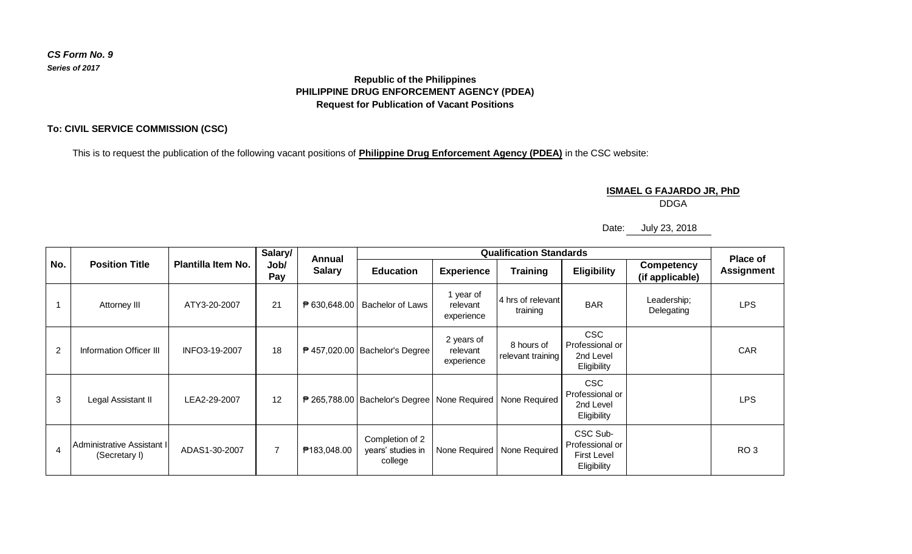## **Republic of the Philippines PHILIPPINE DRUG ENFORCEMENT AGENCY (PDEA) Request for Publication of Vacant Positions**

## **To: CIVIL SERVICE COMMISSION (CSC)**

This is to request the publication of the following vacant positions of **Philippine Drug Enforcement Agency (PDEA)** in the CSC website:

**ISMAEL G FAJARDO JR, PhD**

DDGA

Date: July 23, 2018

| No.            | <b>Position Title</b>                       | <b>Plantilla Item No.</b> | Salary/<br>Job/<br>Pay | <b>Annual</b><br><b>Salary</b> | <b>Qualification Standards</b>                                   |                                      |                                 |                                                           |                                      | <b>Place of</b>   |
|----------------|---------------------------------------------|---------------------------|------------------------|--------------------------------|------------------------------------------------------------------|--------------------------------------|---------------------------------|-----------------------------------------------------------|--------------------------------------|-------------------|
|                |                                             |                           |                        |                                | <b>Education</b>                                                 | <b>Experience</b>                    | <b>Training</b>                 | <b>Eligibility</b>                                        | <b>Competency</b><br>(if applicable) | <b>Assignment</b> |
|                | Attorney III                                | ATY3-20-2007              | 21                     | ₱ 630,648.00                   | Bachelor of Laws                                                 | 1 year of<br>relevant<br>experience  | 4 hrs of relevant<br>training   | <b>BAR</b>                                                | Leadership;<br>Delegating            | <b>LPS</b>        |
| $\overline{2}$ | Information Officer III                     | INFO3-19-2007             | 18                     |                                | $\overline{P}$ 457,020.00   Bachelor's Degree                    | 2 years of<br>relevant<br>experience | 8 hours of<br>relevant training | <b>CSC</b><br>Professional or<br>2nd Level<br>Eligibility |                                      | CAR               |
| 3              | Legal Assistant II                          | LEA2-29-2007              | 12                     |                                | ₱ 265,788.00   Bachelor's Degree   None Required   None Required |                                      |                                 | <b>CSC</b><br>Professional or<br>2nd Level<br>Eligibility |                                      | <b>LPS</b>        |
| 4              | Administrative Assistant I<br>(Secretary I) | ADAS1-30-2007             | $\overline{7}$         | ₱183,048.00                    | Completion of 2<br>years' studies in<br>college                  |                                      | None Required   None Required   | CSC Sub-<br>Professional or<br>First Level<br>Eligibility |                                      | RO <sub>3</sub>   |

*CS Form No. 9 Series of 2017*